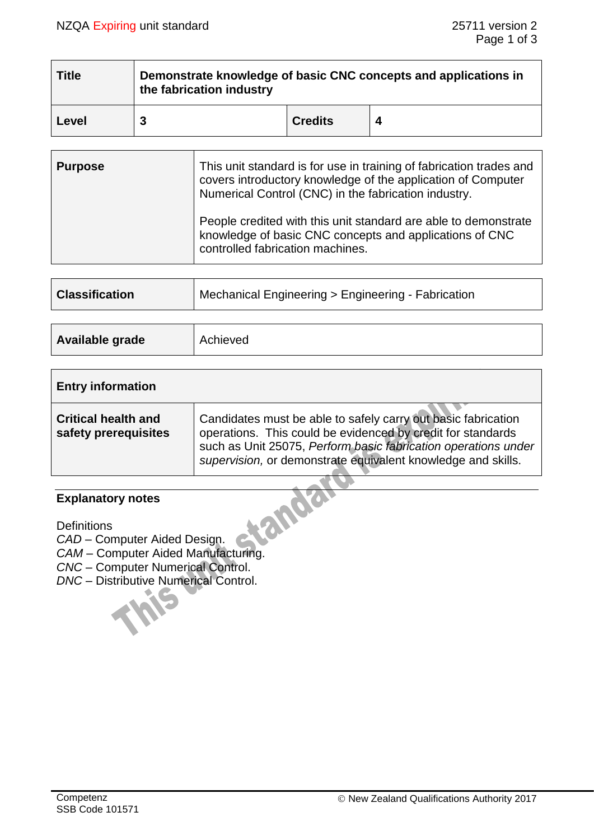| <b>Title</b> | Demonstrate knowledge of basic CNC concepts and applications in<br>the fabrication industry |                |  |
|--------------|---------------------------------------------------------------------------------------------|----------------|--|
| Level        |                                                                                             | <b>Credits</b> |  |

| <b>Purpose</b> | This unit standard is for use in training of fabrication trades and<br>covers introductory knowledge of the application of Computer<br>Numerical Control (CNC) in the fabrication industry. |  |  |
|----------------|---------------------------------------------------------------------------------------------------------------------------------------------------------------------------------------------|--|--|
|                | People credited with this unit standard are able to demonstrate<br>knowledge of basic CNC concepts and applications of CNC<br>controlled fabrication machines.                              |  |  |

| <b>Classification</b> | ∆ Mechanical Engineering > Engineering - Fabrication |
|-----------------------|------------------------------------------------------|
|                       |                                                      |

| Available grade<br>Achieved |
|-----------------------------|
|-----------------------------|

| <b>Entry information</b>                           |                                                                                                                                                                                                                                                                |
|----------------------------------------------------|----------------------------------------------------------------------------------------------------------------------------------------------------------------------------------------------------------------------------------------------------------------|
| <b>Critical health and</b><br>safety prerequisites | Candidates must be able to safely carry out basic fabrication<br>operations. This could be evidenced by credit for standards<br>such as Unit 25075, Perform basic fabrication operations under<br>supervision, or demonstrate equivalent knowledge and skills. |

# **Explanatory notes**

**Definitions** 

*CAD* – Computer Aided Design.

*CAM* – Computer Aided Manufacturing.

*CNC* – Computer Numerical Control.

*DNC* – Distributive Numerical Control.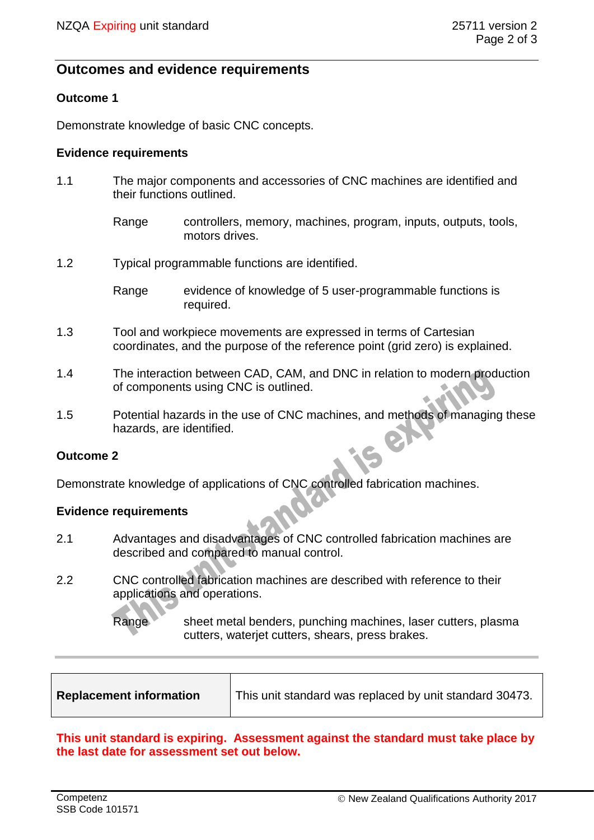## **Outcomes and evidence requirements**

## **Outcome 1**

Demonstrate knowledge of basic CNC concepts.

#### **Evidence requirements**

- 1.1 The major components and accessories of CNC machines are identified and their functions outlined.
	- Range controllers, memory, machines, program, inputs, outputs, tools, motors drives.
- 1.2 Typical programmable functions are identified.

- 1.3 Tool and workpiece movements are expressed in terms of Cartesian coordinates, and the purpose of the reference point (grid zero) is explained.
- 1.4 The interaction between CAD, CAM, and DNC in relation to modern production of components using CNC is outlined.
- 1.5 Potential hazards in the use of CNC machines, and methods of managing these hazards, are identified.

## **Outcome 2**

Demonstrate knowledge of applications of CNC controlled fabrication machines.

#### **Evidence requirements**

- 2.1 Advantages and disadvantages of CNC controlled fabrication machines are described and compared to manual control.
- 2.2 CNC controlled fabrication machines are described with reference to their applications and operations.

Range sheet metal benders, punching machines, laser cutters, plasma cutters, waterjet cutters, shears, press brakes.

| <b>Replacement information</b> |
|--------------------------------|
|--------------------------------|

## **This unit standard is expiring. Assessment against the standard must take place by the last date for assessment set out below.**

Range evidence of knowledge of 5 user-programmable functions is required.